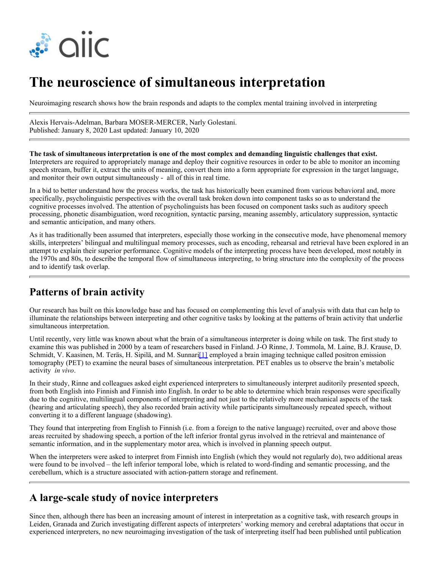

# **The neuroscience of simultaneous interpretation**

Neuroimaging research shows how the brain responds and adapts to the complex mental training involved in interpreting

Alexis Hervais-Adelman, Barbara MOSER-MERCER, Narly Golestani. Published: January 8, 2020 Last updated: January 10, 2020

**The task of simultaneous interpretation is one of the most complex and demanding linguistic challenges that exist.** Interpreters are required to appropriately manage and deploy their cognitive resources in order to be able to monitor an incoming speech stream, buffer it, extract the units of meaning, convert them into a form appropriate for expression in the target language, and monitor their own output simultaneously - all of this in real time.

In a bid to better understand how the process works, the task has historically been examined from various behavioral and, more specifically, psycholinguistic perspectives with the overall task broken down into component tasks so as to understand the cognitive processes involved. The attention of psycholinguists has been focused on component tasks such as auditory speech processing, phonetic disambiguation, word recognition, syntactic parsing, meaning assembly, articulatory suppression, syntactic and semantic anticipation, and many others.

As it has traditionally been assumed that interpreters, especially those working in the consecutive mode, have phenomenal memory skills, interpreters' bilingual and multilingual memory processes, such as encoding, rehearsal and retrieval have been explored in an attempt to explain their superior performance. Cognitive models of the interpreting process have been developed, most notably in the 1970s and 80s, to describe the temporal flow of simultaneous interpreting, to bring structure into the complexity of the process and to identify task overlap.

#### **Patterns of brain activity**

Our research has built on this knowledge base and has focused on complementing this level of analysis with data that can help to illuminate the relationships between interpreting and other cognitive tasks by looking at the patterns of brain activity that underlie simultaneous interpretation.

Until recently, very little was known about what the brain of a simultaneous interpreter is doing while on task. The first study to examine this was published in 2000 by a team of researchers based in Finland. J-O Rinne, J. Tommola, M. Laine, B.J. Krause, D. Schmidt, V. Kaasinen, M. Teräs, H. Sipilä, and M. Sunnari<sup>[1]</sup> employed a brain imaging technique called positron emission tomography (PET) to examine the neural bases of simultaneous interpretation. PET enables us to observe the brain's metabolic activity *in vivo*.

In their study, Rinne and colleagues asked eight experienced interpreters to simultaneously interpret auditorily presented speech, from both English into Finnish and Finnish into English. In order to be able to determine which brain responses were specifically due to the cognitive, multilingual components of interpreting and not just to the relatively more mechanical aspects of the task (hearing and articulating speech), they also recorded brain activity while participants simultaneously repeated speech, without converting it to a different language (shadowing).

They found that interpreting from English to Finnish (i.e. from a foreign to the native language) recruited, over and above those areas recruited by shadowing speech, a portion of the left inferior frontal gyrus involved in the retrieval and maintenance of semantic information, and in the supplementary motor area, which is involved in planning speech output.

When the interpreters were asked to interpret from Finnish into English (which they would not regularly do), two additional areas were found to be involved – the left inferior temporal lobe, which is related to word-finding and semantic processing, and the cerebellum, which is a structure associated with action-pattern storage and refinement.

### **A large-scale study of novice interpreters**

Since then, although there has been an increasing amount of interest in interpretation as a cognitive task, with research groups in Leiden, Granada and Zurich investigating different aspects of interpreters' working memory and cerebral adaptations that occur in experienced interpreters, no new neuroimaging investigation of the task of interpreting itself had been published until publication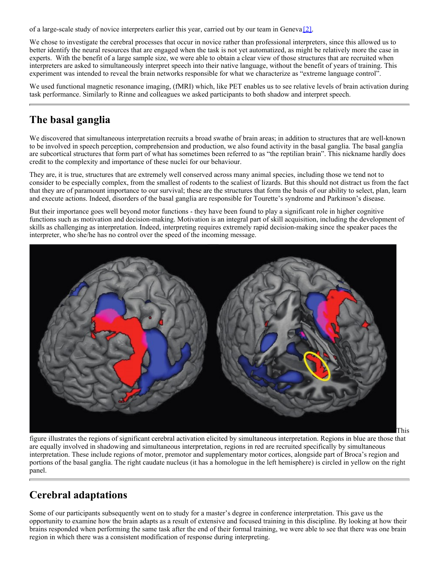of a large-scale study of novice interpreters earlier this year, carried out by our team in Geneva [2].

We chose to investigate the cerebral processes that occur in novice rather than professional interpreters, since this allowed us to better identify the neural resources that are engaged when the task is not yet automatized, as might be relatively more the case in experts. With the benefit of a large sample size, we were able to obtain a clear view of those structures that are recruited when interpreters are asked to simultaneously interpret speech into their native language, without the benefit of years of training. This experiment was intended to reveal the brain networks responsible for what we characterize as "extreme language control".

We used functional magnetic resonance imaging, (fMRI) which, like PET enables us to see relative levels of brain activation during task performance. Similarly to Rinne and colleagues we asked participants to both shadow and interpret speech.

## **The basal ganglia**

We discovered that simultaneous interpretation recruits a broad swathe of brain areas; in addition to structures that are well-known to be involved in speech perception, comprehension and production, we also found activity in the basal ganglia. The basal ganglia are subcortical structures that form part of what has sometimes been referred to as "the reptilian brain". This nickname hardly does credit to the complexity and importance of these nuclei for our behaviour.

They are, it is true, structures that are extremely well conserved across many animal species, including those we tend not to consider to be especially complex, from the smallest of rodents to the scaliest of lizards. But this should not distract us from the fact that they are of paramount importance to our survival; these are the structures that form the basis of our ability to select, plan, learn and execute actions. Indeed, disorders of the basal ganglia are responsible for Tourette's syndrome and Parkinson's disease.

But their importance goes well beyond motor functions - they have been found to play a significant role in higher cognitive functions such as motivation and decision-making. Motivation is an integral part of skill acquisition, including the development of skills as challenging as interpretation. Indeed, interpreting requires extremely rapid decision-making since the speaker paces the interpreter, who she/he has no control over the speed of the incoming message.



figure illustrates the regions of significant cerebral activation elicited by simultaneous interpretation. Regions in blue are those that are equally involved in shadowing and simultaneous interpretation, regions in red are recruited specifically by simultaneous interpretation. These include regions of motor, premotor and supplementary motor cortices, alongside part of Broca's region and portions of the basal ganglia. The right caudate nucleus (it has a homologue in the left hemisphere) is circled in yellow on the right panel.

#### **Cerebral adaptations**

Some of our participants subsequently went on to study for a master's degree in conference interpretation. This gave us the opportunity to examine how the brain adapts as a result of extensive and focused training in this discipline. By looking at how their brains responded when performing the same task after the end of their formal training, we were able to see that there was one brain region in which there was a consistent modification of response during interpreting.

This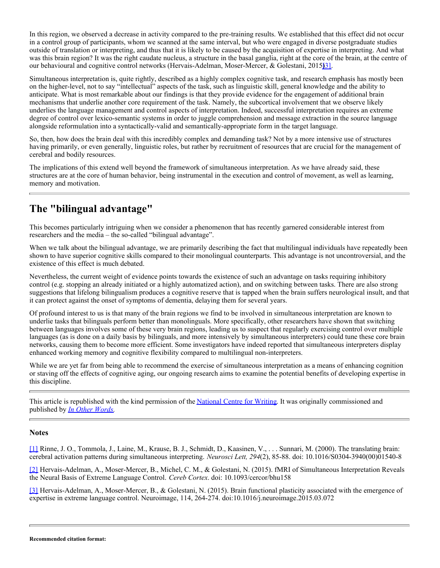In this region, we observed a decrease in activity compared to the pre-training results. We established that this effect did not occur in a control group of participants, whom we scanned at the same interval, but who were engaged in diverse postgraduate studies outside of translation or interpreting, and thus that it is likely to be caused by the acquisition of expertise in interpreting. And what was this brain region? It was the right caudate nucleus, a structure in the basal ganglia, right at the core of the brain, at the centre of our behavioural and cognitive control networks (Hervais-Adelman, Moser-Mercer, & Golestani, 2015)[3].

Simultaneous interpretation is, quite rightly, described as a highly complex cognitive task, and research emphasis has mostly been on the higher-level, not to say "intellectual" aspects of the task, such as linguistic skill, general knowledge and the ability to anticipate. What is most remarkable about our findings is that they provide evidence for the engagement of additional brain mechanisms that underlie another core requirement of the task. Namely, the subcortical involvement that we observe likely underlies the language management and control aspects of interpretation. Indeed, successful interpretation requires an extreme degree of control over lexico-semantic systems in order to juggle comprehension and message extraction in the source language alongside reformulation into a syntactically-valid and semantically-appropriate form in the target language.

So, then, how does the brain deal with this incredibly complex and demanding task? Not by a more intensive use of structures having primarily, or even generally, linguistic roles, but rather by recruitment of resources that are crucial for the management of cerebral and bodily resources.

The implications of this extend well beyond the framework of simultaneous interpretation. As we have already said, these structures are at the core of human behavior, being instrumental in the execution and control of movement, as well as learning, memory and motivation.

### **The "bilingual advantage"**

This becomes particularly intriguing when we consider a phenomenon that has recently garnered considerable interest from researchers and the media – the so-called "bilingual advantage".

When we talk about the bilingual advantage, we are primarily describing the fact that multilingual individuals have repeatedly been shown to have superior cognitive skills compared to their monolingual counterparts. This advantage is not uncontroversial, and the existence of this effect is much debated.

Nevertheless, the current weight of evidence points towards the existence of such an advantage on tasks requiring inhibitory control (e.g. stopping an already initiated or a highly automatized action), and on switching between tasks. There are also strong suggestions that lifelong bilingualism produces a cognitive reserve that is tapped when the brain suffers neurological insult, and that it can protect against the onset of symptoms of dementia, delaying them for several years.

Of profound interest to us is that many of the brain regions we find to be involved in simultaneous interpretation are known to underlie tasks that bilinguals perform better than monolinguals. More specifically, other researchers have shown that switching between languages involves some of these very brain regions, leading us to suspect that regularly exercising control over multiple languages (as is done on a daily basis by bilinguals, and more intensively by simultaneous interpreters) could tune these core brain networks, causing them to become more efficient. Some investigators have indeed reported that simultaneous interpreters display enhanced working memory and cognitive flexibility compared to multilingual non-interpreters.

While we are yet far from being able to recommend the exercise of simultaneous interpretation as a means of enhancing cognition or staving off the effects of cognitive aging, our ongoing research aims to examine the potential benefits of developing expertise in this discipline.

This article is republished with the kind permission of the [National Centre for Writing](https://nationalcentreforwriting.org.uk/). It was originally commissioned and published by *[In Other Words](https://nationalcentreforwriting.org.uk/ncw-publications/in-other-words/).*

#### **Notes**

[1] Rinne, J. O., Tommola, J., Laine, M., Krause, B. J., Schmidt, D., Kaasinen, V., . . . Sunnari, M. (2000). The translating brain: cerebral activation patterns during simultaneous interpreting. *Neurosci Lett, 294*(2), 85-88. doi: 10.1016/S0304-3940(00)01540-8

[2] Hervais-Adelman, A., Moser-Mercer, B., Michel, C. M., & Golestani, N. (2015). fMRI of Simultaneous Interpretation Reveals the Neural Basis of Extreme Language Control. *Cereb Cortex*. doi: 10.1093/cercor/bhu158

[3] Hervais-Adelman, A., Moser-Mercer, B., & Golestani, N. (2015). Brain functional plasticity associated with the emergence of expertise in extreme language control. Neuroimage, 114, 264-274. doi:10.1016/j.neuroimage.2015.03.072